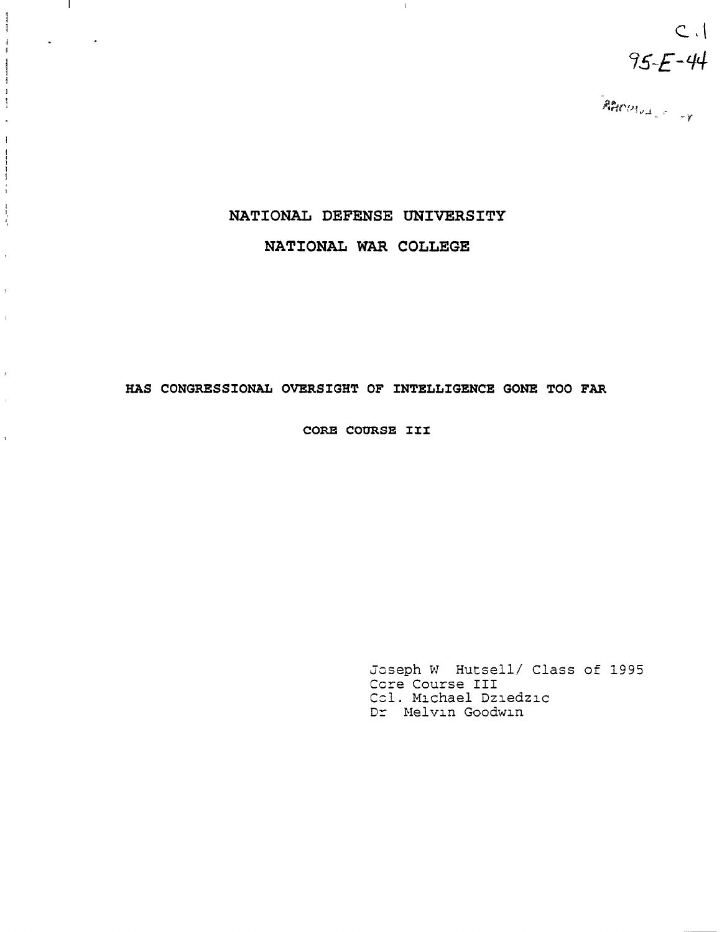$C.$  $95 - 44$ 

# NATIONAL DEFENSE UNIVERSITY

 $\pm 1$ 

 $\mathbb{R}^n$ 

 $\mathcal{L}(\mathbf{z})$  and  $\mathcal{L}(\mathbf{z})$ 

**Make Kida** 

 $\begin{array}{c} 1 \\ 1 \end{array}$ 

 $\begin{aligned} \mathcal{L}_{\text{M}} = \mathcal{L}_{\text{M}} = \mathcal{L}_{\text{M}} \mathcal{L}_{\text{M}} \end{aligned}$ 

 $\begin{array}{c} \frac{1}{2} \end{array}$  $\hat{\mathbf{r}}$  $\,$   $\,$ 

 $\label{eq:1} \frac{1}{\sqrt{2}}\left( \begin{array}{cc} \frac{1}{\sqrt{2}} & \frac{1}{\sqrt{2}} & \frac{1}{\sqrt{2}} & \frac{1}{\sqrt{2}} & \frac{1}{\sqrt{2}} \\ \frac{1}{\sqrt{2}} & \frac{1}{\sqrt{2}} & \frac{1}{\sqrt{2}} & \frac{1}{\sqrt{2}} & \frac{1}{\sqrt{2}} \end{array} \right)$ 

 $\frac{1}{4}$ 

 $\bar{\bar{z}}$ 

 $\mathfrak{g}$ 

 $\bar{1}$ 

 $\mathbf{r}$ 

 $\hat{\mathbf{r}}$ 

 $\hat{\mathcal{A}}$ 

NATIONAL WAR COLLEGE

## HAS CONGRESSIONAL OVERSIGHT OF INTELLIGENCE GONE TOO FAR

CORE COURSE III

Joseph W Hutsell/ Class of 1995 Core Course III Col. Michael Dziedzic Dr Melvin Goodwin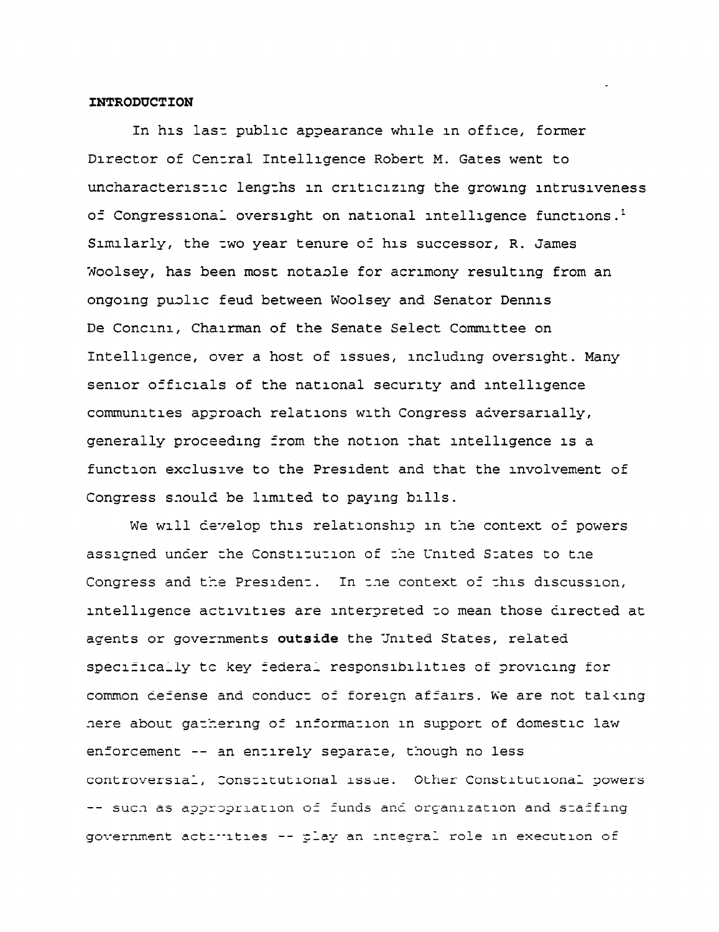#### **INTRODUCTION**

In his last public appearance while in office, former Director of Central Intelligence Robert M. Gates went to uncharacteristic lengths in criticizing the growing intrusiveness of Congressional oversight on national intelligence functions.<sup>1</sup> Similarly, the two year tenure of his successor, R. James Woolsey, has been most notable for acrimony resulting from an ongoing public feud between Woolsey and Senator Dennis De Concini, Chairman of the Senate Select Committee on Intelligence, over a host of issues, including oversight. Many senior officials of the national security and intelligence communities approach relations with Congress adversarially, generally proceeding from the notion that intelligence is a function exclusive to the President and that the involvement of Congress should be limited to paying bills.

We will develop this relationship in the context of powers assicned under the Constitution of the United States to the Congress and the President. In the context of this discussion, intelligence activities are interpreted to mean those directed at agents or governments outside the United States, related specifically to key federal responsibilities of providing for common defense and conduct of foreign affairs. We are not talking here about gathering of information in support of domestic law enforcement -- an entirely separate, though no less controversial, Constitutional issue. Other Constitutional powers -- such as appropriation of funds and organization and staffing government actimities -- play an integral role in execution of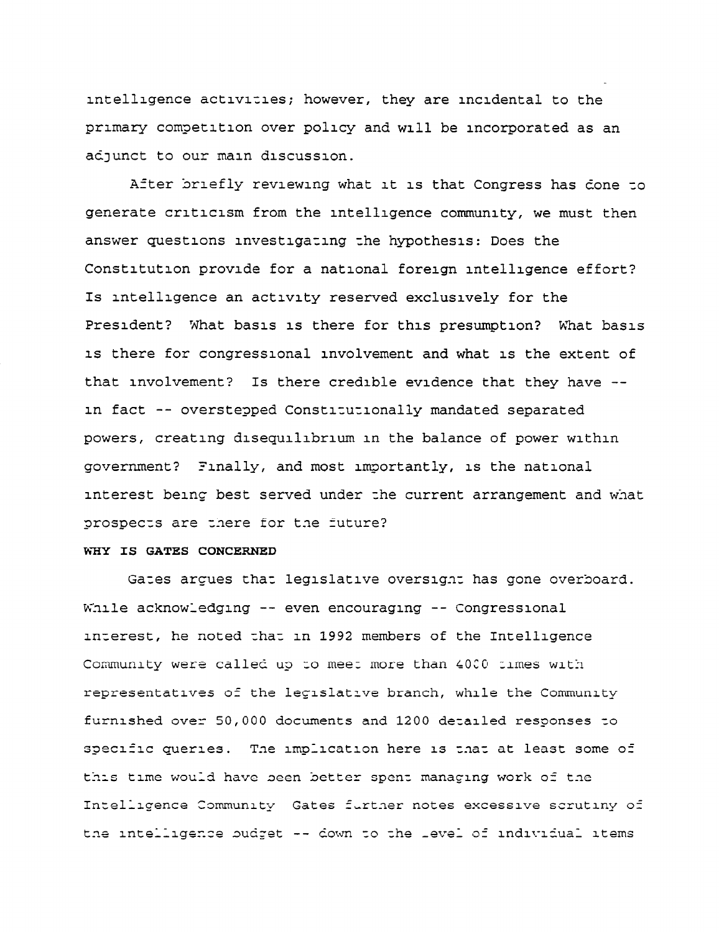intelligence activities; however, they are incidental to the primary competition over policy and will be incorporated as an adjunct to our main discussion.

After briefly reviewing what it is that Congress has done to generate criticism from the intelligence community, we must then answer questions investigating the hypothesis: Does the Constitution provide for a national foreign intelligence effort? Is intelligence an activity reserved exclusively for the President? What basis is there for this presumption? What basis is there for congressional involvement and what is the extent of that involvement? Is there credible evidence that they have -in fact -- overstepped Constitutionally mandated separated powers, creating disequilibrium in the balance of power within government? Finally, and most importantly, is the national interest being best served under the current arrangement and what prospects are there for the future?

### WHY IS GATES CONCERNED

Gates argues that legislative oversignt has gone overboard. While acknowledging -- even encouraging -- Congressional interest, he noted that in 1992 members of the Intelligence Community were called up to meet more than 4000 times with representatives of the legislative branch, while the Community furnished over 50,000 documents and 1200 detailed responses to specific queries. The implication here is that at least some of this time would have been better spent managing work of the Intelligence Community Gates further notes excessive scrutiny of the intelligence budget -- down to the level of individual items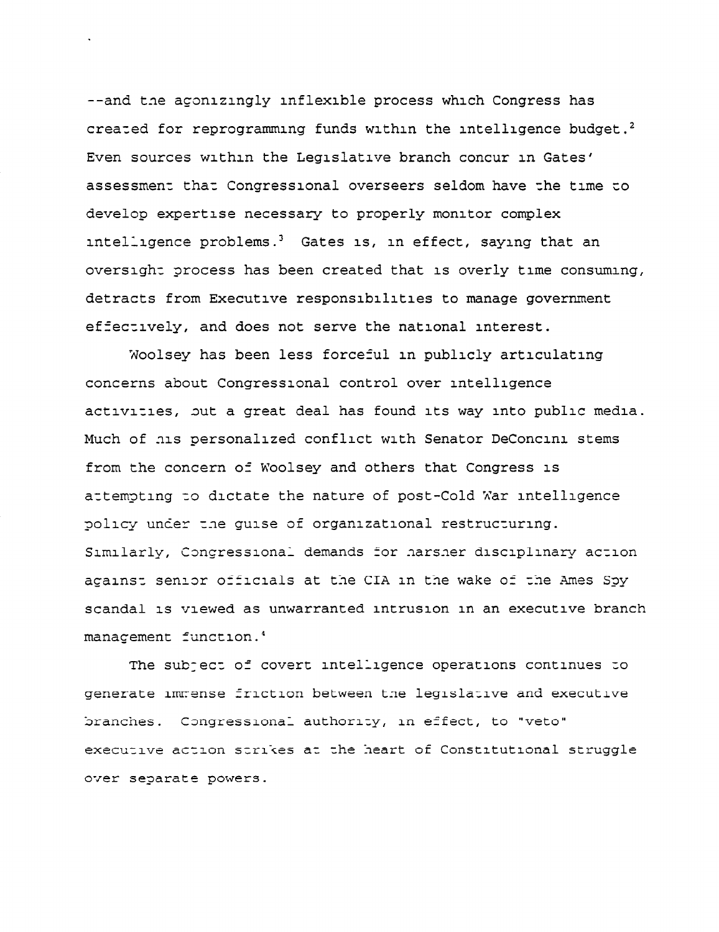--and the agonizingly inflexible process which Congress has created for reprogramming funds within the intelligence budget.<sup>2</sup> Even sources within the Legislative branch concur in Gates' assessment that Congressional overseers seldom have the time to develop expertise necessary to properly monitor complex intelligence problems.<sup>3</sup> Gates is, in effect, saying that an oversight process has been created that is overly time consuming, detracts from Executive responsibilities to manage government effectively, and does not serve the national interest.

Woolsey has been less forceful in publicly articulating concerns about Congressional control over intelligence activities, but a great deal has found its way into public media. Much of his personalized conflict with Senator DeConcini stems from the concern of Woolsey and others that Congress is attempting to dictate the nature of post-Cold War intelligence policy under the guise of organizational restructuring. Similarly, Congressional demands for harsher disciplinary action acainst senior officials at the CIA in the wake of the Ames Spy scandal is viewed as unwarranted intrusion in an executive branch manacement function.<sup>4</sup>

The subject of covert intelligence operations continues to generate immense friction between the legislative and executive branches. Congressional authority, in effect, to "veto" executive action strikes at the heart of Constitutional struggle over separate powers.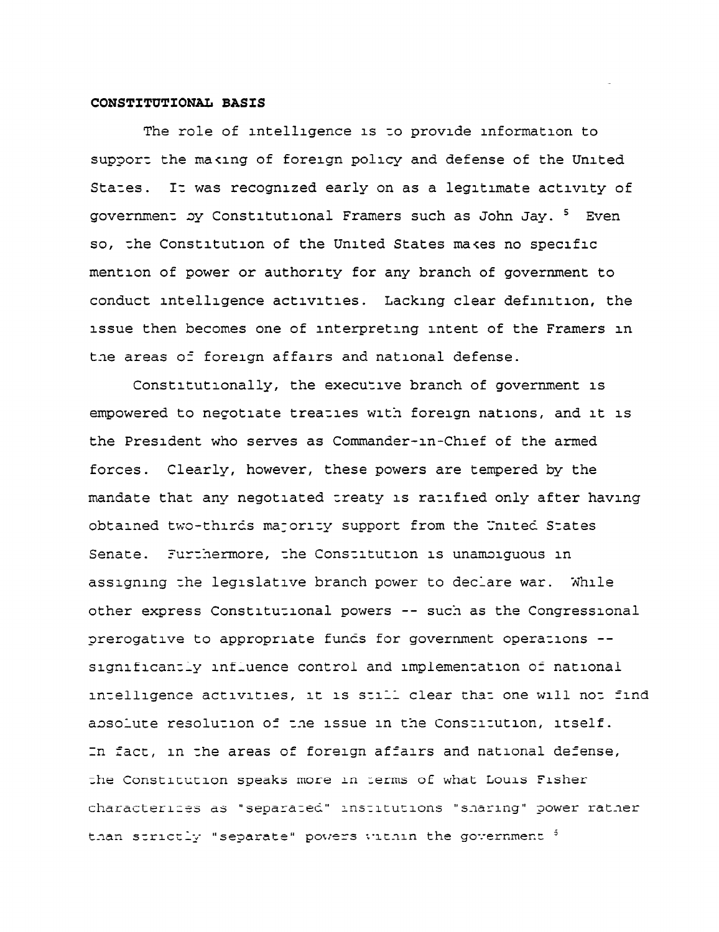#### CONSTITUTIONAL BASIS

The role of intelligence is to provide information to support the making of foreign policy and defense of the United States. It was recognized early on as a legitimate activity of government by Constitutional Framers such as John Jay. 5 Even so, the Constitution of the United States makes no specific mention of power or authority for any branch of government to conduct intelligence activities. Lacking clear definition, the issue then becomes one of interpreting intent of the Framers in the areas of foreign affairs and national defense.

Constitutionally, the executive branch of government is empowered to negotiate treaties with foreign nations, and it is the President who serves as Commander-in-Chief of the armed forces. Clearly, however, these powers are tempered by the mandate that any negotiated treaty is ratified only after having obtained two-thirds majority support from the United States Senate. Furthermore, the Constitution is unamoiguous in assigning the legislative branch power to declare war. While other express Constitutional powers -- such as the Congressional prerogative to appropriate funds for government operations -significantly influence control and implementation of national intelligence activities, it is still clear that one will not find absolute resolution of the issue in the Constitution, itself. In fact, in the areas of foreign affairs and national defense, the Constitution speaks more in terms of what Louis Fisher characterices as "separated" institutions "sharing" power rather than strictly "separate" powers within the government 3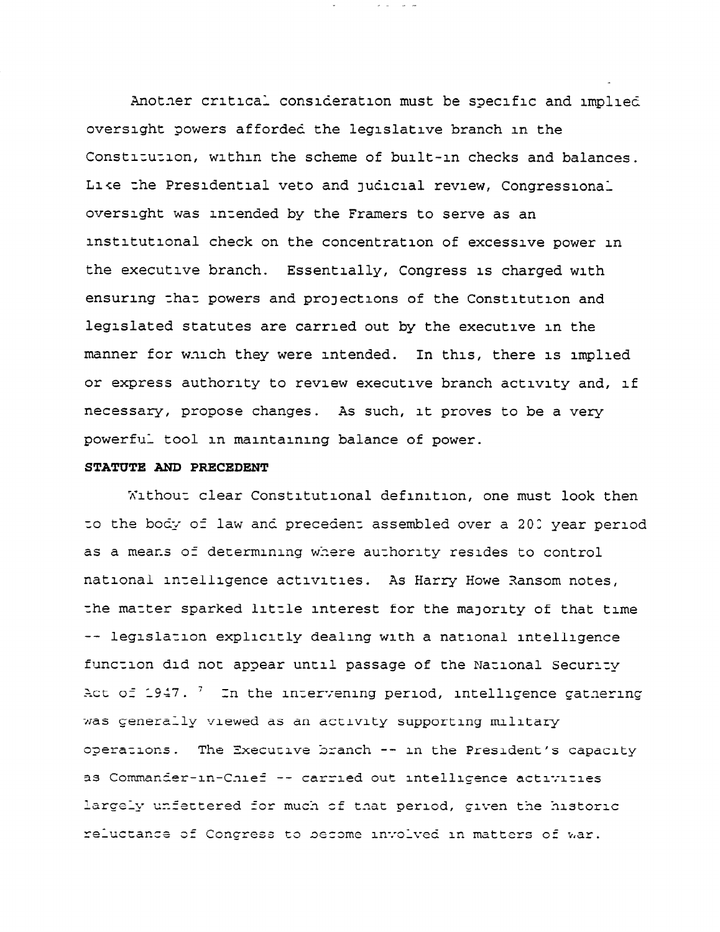Another critical consideration must be specific and implied oversight powers afforded the legislative branch in the Constitution, within the scheme of built-in checks and balances. Like the Presidential veto and judicial review, Congressional oversight was intended by the Framers to serve as an institutional check on the concentration of excessive power in the executive branch. Essentially, Congress is charged with ensuring that powers and projections of the Constitution and legislated statutes are carried out by the executive in the manner for which they were intended. In this, there is implied or express authority to review executive branch activity and, if necessary, propose changes. As such, it proves to be a very powerful tool in maintaining balance of power.

#### STATUTE AND PRECEDENT

Without clear Constitutional definition, one must look then to the body of law and precedent assembled over a 200 year period as a means of determining where authority resides to control national intelligence activities. As Harry Howe Ransom notes, the matter sparked little interest for the majority of that time -- legislation explicitly dealing with a national intelligence function did not appear until passage of the National Security Act of 1947.  $^7$  In the intervening period, intelligence gathering was generally viewed as an activity supporting military operations. The Executive branch -- in the President's capacity as Commander-in-Chief -- carried out intelligence activities largely unfettered for much of that period, given the historic reluctance of Congress to become involved in matters of war.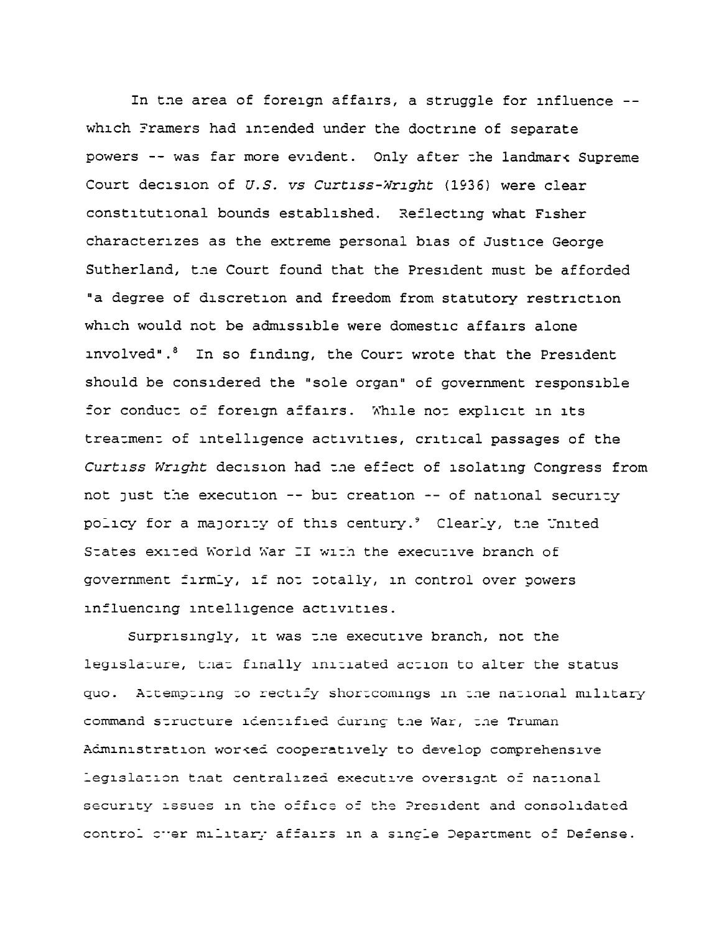In tne area of foreign affairs, a struggle for influence - which Framers had intended under the doctrine of separate powers -- was far more evident. Only after the landmars Supreme Court decision of U.S. vs Curtiss-Wright (1936) were clear constitutional bounds established. Xeflecting what Fisher characterizes as the extreme personal bias of Justice George Sutherland, the Court found that the President must be afforded 'a degree of discretion and freedom from statutory restriction which would not be admissible were domestic affairs alone involved".<sup>8</sup> In so finding, the Court wrote that the President should be considered the "sole organ" of government responsible for conduct of foreign affairs. While not explicit in its treatment of intelligence activities, critical passages of the Curtlss Wright decision had t.ne effect of isolating Congress from not Just the execution -- but creation -- of national security policy for a majority of this century.<sup>9</sup> Clearly, the United States exited World War II with the executive branch of government firmly, if not totally, in control over powers influencing intelligence activities.

Surprisingly, it was tne executive branch, not the legislature, tnaz finally initiated action to alter the status quo. Attempting zo rectify shortcomings in tne national military command structure identified during the War, the Truman A&ministration worced cooperatively to develop comprehensive legislation that centralized executive oversignt of national security issues in the office of the President and consolidated control cher military affairs in a single Department of Defense.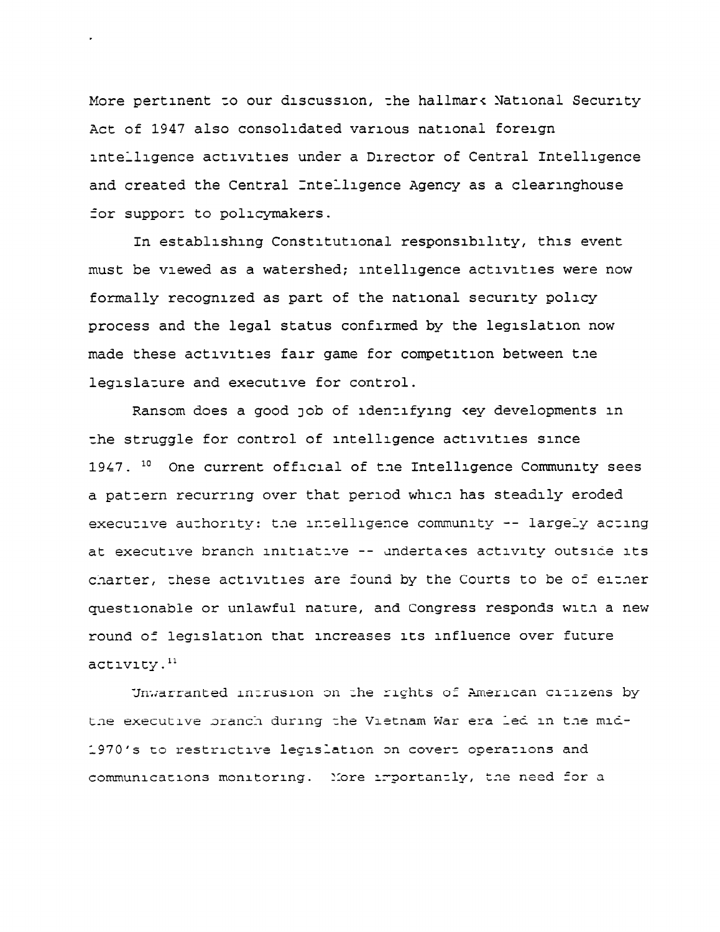More pertinent to our discussion, the hallmark National Security Act of 1947 also consolidated various national foreign intelligence activities under a Director of Central Intelligence and created the Central Intelligence Agency as a clearinghouse for support to policymakers.

In establishing Constitutional responsibility, this event must be viewed as a watershed; intelligence activities were now formally recognized as part of the national security policy process and the legal status confirmed by the legislation now made these activities fair game for competition between the legislature and executive for control.

Ransom does a good job of identifying key developments in the struggle for control of intelligence activities since 1947. <sup>10</sup> One current official of the Intelligence Community sees a pattern recurring over that period which has steadily eroded executive authority: the intelligence community -- largely acting at executive branch initiative -- undertakes activity outside its charter, these activities are found by the Courts to be of either questionable or unlawful nature, and Congress responds with a new round of legislation that increases its influence over future activity.<sup>11</sup>

Unwarranted intrusion on the rights of American citizens by the executive branch during the Vietnam War era led in the mid-1970's to restrictive legislation on covert operations and communications monitoring. More importantly, the need for a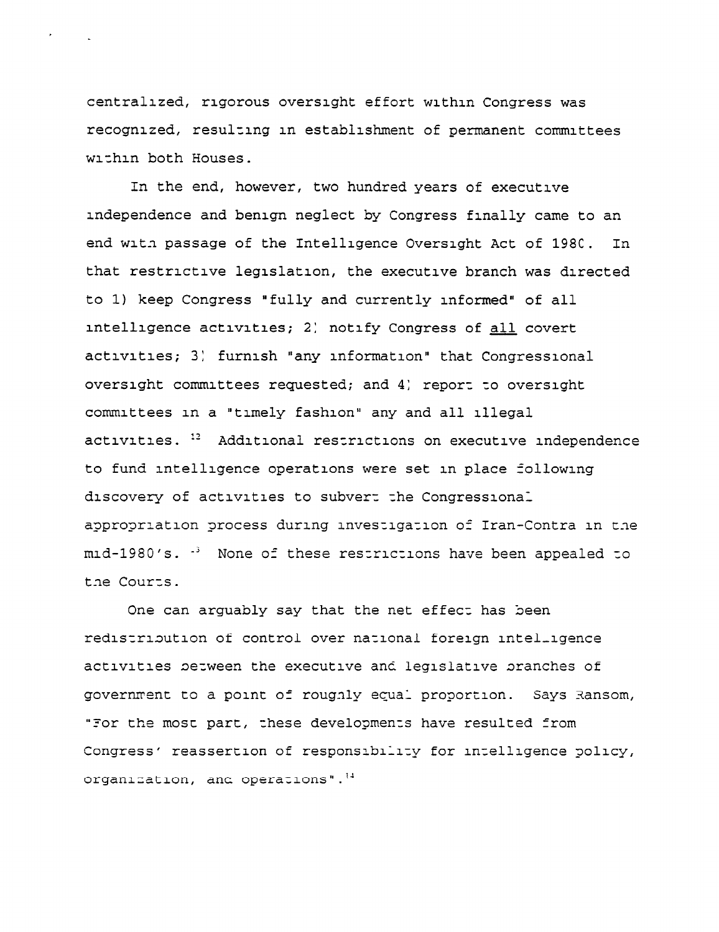centralized, rigorous oversight effort within Congress was recognized, resulting in establishment of permanent committees within both Houses.

In the end, however, two hundred years of executive independence and benign neglect by Congress finally came to an end with passage of the Intelligence Oversight Act of 1980. In. that restrictive legislation, the executive branch was directed to 1) keep Congress "fully and currently informed" of all intelligence activities; 2) notify Congress of all covert activities; 3) furnish "any information" that Congressional oversight committees requested; and 4) report to oversight committees in a "timely fashion" any and all illegal activities. <sup>12</sup> Additional restrictions on executive independence to fund intelligence operations were set in place following discovery of activities to subvert the Congressional appropriation process during investigation of Iran-Contra in the mid-1980's. <sup>3</sup> None of these restrictions have been appealed to the Courts.

One can arguably say that the net effect has been redistribution of control over national foreign intelligence activities between the executive and legislative branches of government to a point of roughly equal proportion. Says Ransom, "For the most part, these developments have resulted from Congress' reassertion of responsibility for intelligence policy, organization, and operations".<sup>14</sup>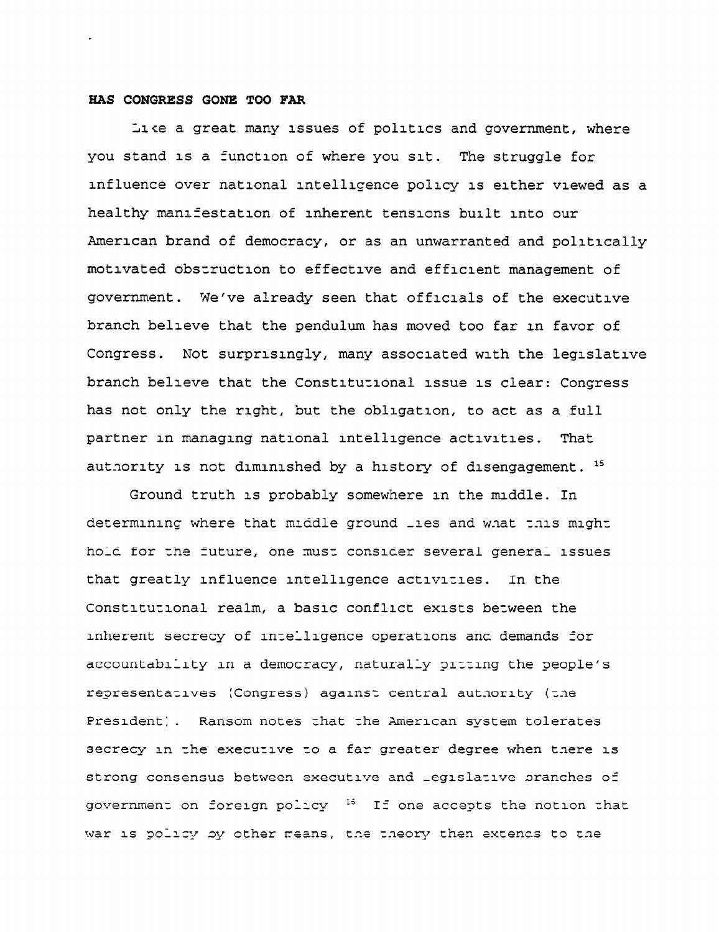#### HAS CONGRESS GONE TOO FAR

Like a great many issues of politics and government, where you stand is a function of where you sit. The struggle for influence over national intelligence policy is either viewed as a healthy manifestation of inherent tensions built into our American brand of democracy, or as an unwarranted and politically motivated obstruction to effective and efficient management of government. We've already seen that officials of the executive branch believe that the pendulum has moved too far in favor of Congress. Not surprisingly, many associated with the legislative branch believe that the Constitutional issue is clear: Congress has not only the right, but the obligation, to act as a full partner in managing national intelligence activities. That authority is not diminished by a history of disengagement. <sup>15</sup>

Ground truth is probably somewhere in the middle. In determining where that middle ground \_ies and what this might hold for the future, one must consider several general issues that greatly influence intelligence activities. In the Constitutional realm, a basic conflict exists between the inherent secrecy of intelligence operations and demands for accountability in a democracy, naturally pitting the people's representatives (Congress) against central authority (the President). Ransom notes that the American system tolerates secrecy in the executive to a far greater degree when there is strong consensus between executive and Legislative pranches of government on foreign policy <sup>15</sup> If one accepts the notion that war is policy by other means, the theory then extends to the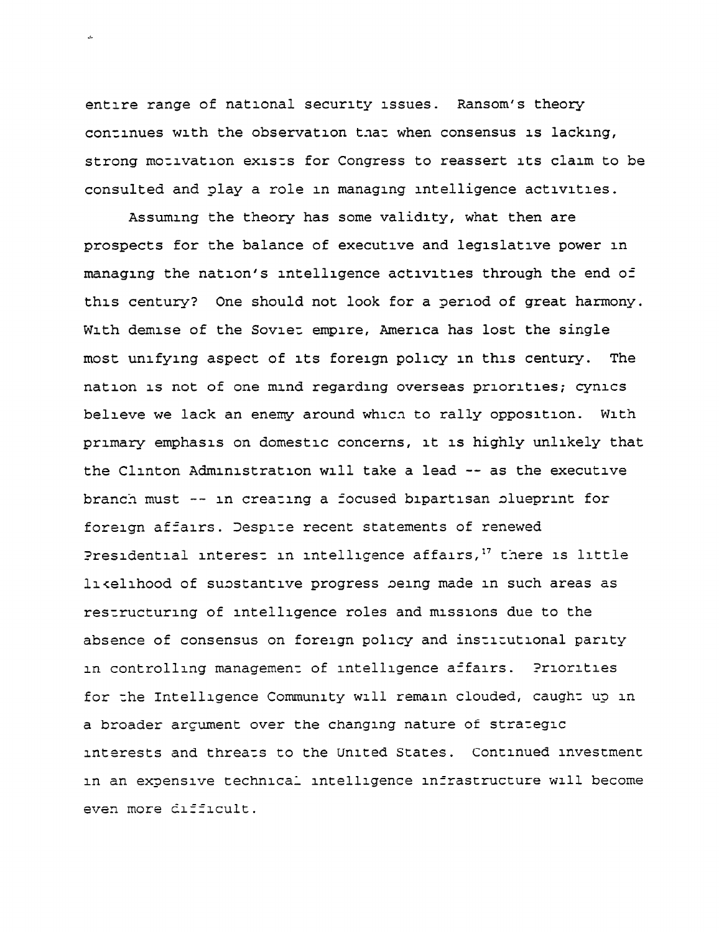entire range of national security issues. Ransom's theory continues with the observation that when consensus is lacking, strong motivation exists for Congress to reassert its claim to be consulted and glay a role in managing intelligence activities.

Assuming the theory has some validity, what then are prospects for the balance of executive and leglslatlve power in managlng the nation's intelligence activities through the end of this century? One should not look for a period of great harmony. With demise of the Soviet empire, America has lost the single most unifying aspect of its foreign policy In this century. The nation 1s not of one mrnd regarding overseas priorities; cynics believe we lack an enemy around whlcn to rally opposition. With primary emphasis on domestic concerns, It IS highly unlikely that the Clinton Administration will take a lead -- as the executive branch must -- in creating a focused bipartisan olueprlnt for foreign affairs. Iesprze recent statements of renewed Presidential interest in intelligence affairs,<sup>17</sup> there is little likelihood of substantive progress being made in such areas as restructuring of intelligence roles and missions due to the absence of consensus on foreign policy and inszrtutlonal parity in controlling management of intelligence affairs. Priorities for the Intelligence Community will remain clouded, caught up in a broader argument over the changing nature of strategic interests and threats to the United States. Continued investment in an expensive technical intelligence infrastructure will become even more difficult.

j.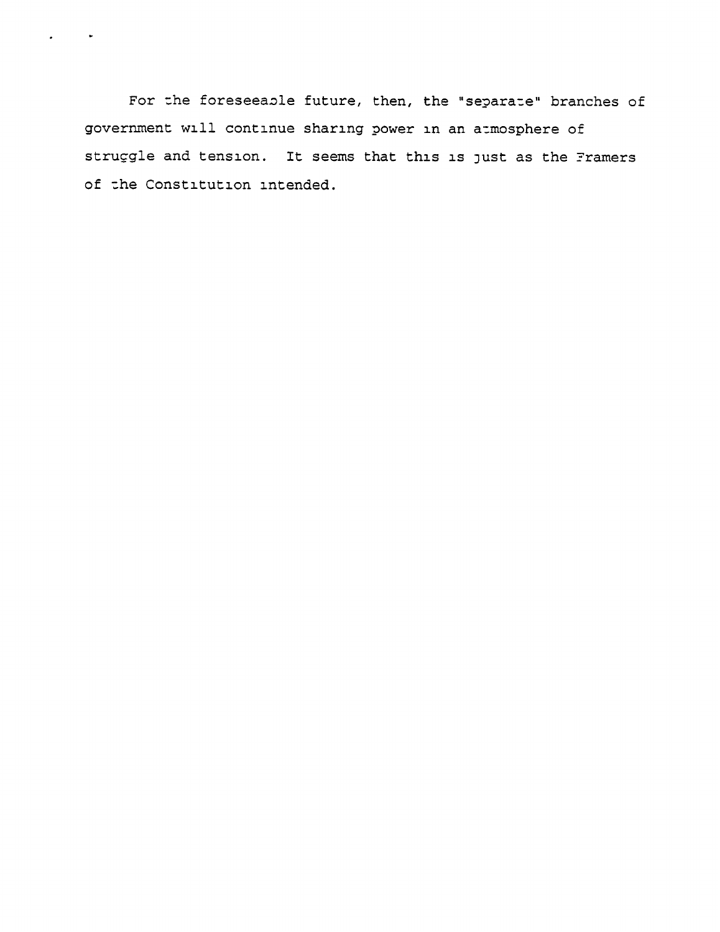For the foreseeable future, then, the "separate" branches of government will continue sharing power in an atmosphere of struggle and tension. It seems that this is Just as the Tramers of the Constitution intended.

 $\mathbf{r}$ 

 $\ddot{\phantom{0}}$